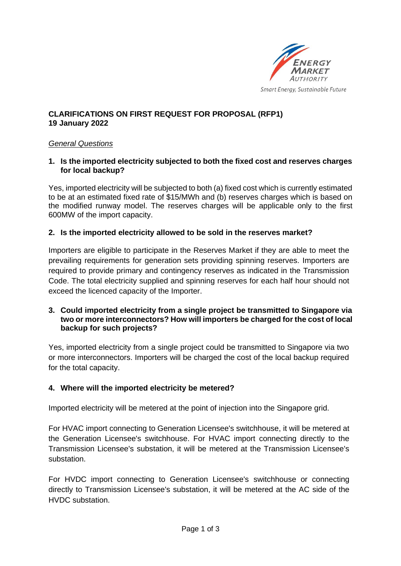

# **CLARIFICATIONS ON FIRST REQUEST FOR PROPOSAL (RFP1) 19 January 2022**

## *General Questions*

**1. Is the imported electricity subjected to both the fixed cost and reserves charges for local backup?** 

Yes, imported electricity will be subjected to both (a) fixed cost which is currently estimated to be at an estimated fixed rate of \$15/MWh and (b) reserves charges which is based on the modified runway model. The reserves charges will be applicable only to the first 600MW of the import capacity.

#### **2. Is the imported electricity allowed to be sold in the reserves market?**

Importers are eligible to participate in the Reserves Market if they are able to meet the prevailing requirements for generation sets providing spinning reserves. Importers are required to provide primary and contingency reserves as indicated in the Transmission Code. The total electricity supplied and spinning reserves for each half hour should not exceed the licenced capacity of the Importer.

#### **3. Could imported electricity from a single project be transmitted to Singapore via two or more interconnectors? How will importers be charged for the cost of local backup for such projects?**

Yes, imported electricity from a single project could be transmitted to Singapore via two or more interconnectors. Importers will be charged the cost of the local backup required for the total capacity.

## **4. Where will the imported electricity be metered?**

Imported electricity will be metered at the point of injection into the Singapore grid.

For HVAC import connecting to Generation Licensee's switchhouse, it will be metered at the Generation Licensee's switchhouse. For HVAC import connecting directly to the Transmission Licensee's substation, it will be metered at the Transmission Licensee's substation.

For HVDC import connecting to Generation Licensee's switchhouse or connecting directly to Transmission Licensee's substation, it will be metered at the AC side of the HVDC substation.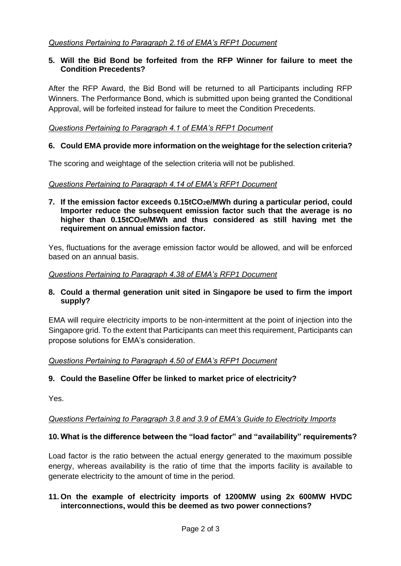## **5. Will the Bid Bond be forfeited from the RFP Winner for failure to meet the Condition Precedents?**

After the RFP Award, the Bid Bond will be returned to all Participants including RFP Winners. The Performance Bond, which is submitted upon being granted the Conditional Approval, will be forfeited instead for failure to meet the Condition Precedents.

*Questions Pertaining to Paragraph 4.1 of EMA's RFP1 Document*

## **6. Could EMA provide more information on the weightage for the selection criteria?**

The scoring and weightage of the selection criteria will not be published.

#### *Questions Pertaining to Paragraph 4.14 of EMA's RFP1 Document*

**7. If the emission factor exceeds 0.15tCO2e/MWh during a particular period, could Importer reduce the subsequent emission factor such that the average is no higher than 0.15tCO2e/MWh and thus considered as still having met the requirement on annual emission factor.** 

Yes, fluctuations for the average emission factor would be allowed, and will be enforced based on an annual basis.

#### *Questions Pertaining to Paragraph 4.38 of EMA's RFP1 Document*

## **8. Could a thermal generation unit sited in Singapore be used to firm the import supply?**

EMA will require electricity imports to be non-intermittent at the point of injection into the Singapore grid. To the extent that Participants can meet this requirement, Participants can propose solutions for EMA's consideration.

## *Questions Pertaining to Paragraph 4.50 of EMA's RFP1 Document*

## **9. Could the Baseline Offer be linked to market price of electricity?**

Yes.

## *Questions Pertaining to Paragraph 3.8 and 3.9 of EMA's Guide to Electricity Imports*

## **10. What is the difference between the "load factor" and "availability" requirements?**

Load factor is the ratio between the actual energy generated to the maximum possible energy, whereas availability is the ratio of time that the imports facility is available to generate electricity to the amount of time in the period.

#### **11. On the example of electricity imports of 1200MW using 2x 600MW HVDC interconnections, would this be deemed as two power connections?**